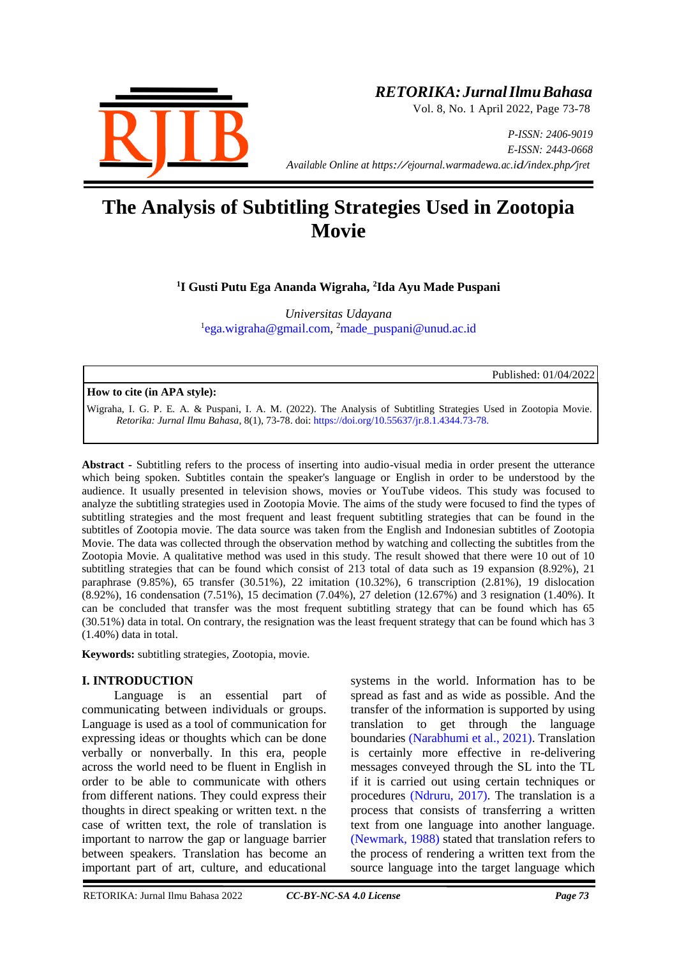

# *RETORIKA:JurnalIlmuBahasa*

Vol. 8, No. 1 April 2022, Page 73-78

*P-ISSN: 2406-9019 E-ISSN: 2443-0668 Available Online at https://ejournal.warmadewa.ac.id/index.php/jret*

# **The Analysis of Subtitling Strategies Used in Zootopia Movie**

**1 I Gusti Putu Ega Ananda Wigraha, 2 Ida Ayu Made Puspani**

*Universitas Udayana* 1 [ega.wigraha@gmail.com,](mailto:ega.wigraha@gmail.com) <sup>2</sup>[made\\_puspani@unud.ac.id](mailto:made_puspani@unud.ac.id)

Published: 01/04/2022

#### **How to cite (in APA style):**

Wigraha, I. G. P. E. A. & Puspani, I. A. M. (2022). The Analysis of Subtitling Strategies Used in Zootopia Movie. *Retorika: Jurnal Ilmu Bahasa*, 8(1), 73-78. doi:<https://doi.org/10.55637/jr.8.1.4344.73-78.>

**Abstract -** Subtitling refers to the process of inserting into audio-visual media in order present the utterance which being spoken. Subtitles contain the speaker's language or English in order to be understood by the audience. It usually presented in television shows, movies or YouTube videos. This study was focused to analyze the subtitling strategies used in Zootopia Movie. The aims of the study were focused to find the types of subtitling strategies and the most frequent and least frequent subtitling strategies that can be found in the subtitles of Zootopia movie. The data source was taken from the English and Indonesian subtitles of Zootopia Movie. The data was collected through the observation method by watching and collecting the subtitles from the Zootopia Movie. A qualitative method was used in this study. The result showed that there were 10 out of 10 subtitling strategies that can be found which consist of 213 total of data such as 19 expansion (8.92%), 21 paraphrase (9.85%), 65 transfer (30.51%), 22 imitation (10.32%), 6 transcription (2.81%), 19 dislocation (8.92%), 16 condensation (7.51%), 15 decimation (7.04%), 27 deletion (12.67%) and 3 resignation (1.40%). It can be concluded that transfer was the most frequent subtitling strategy that can be found which has 65 (30.51%) data in total. On contrary, the resignation was the least frequent strategy that can be found which has 3 (1.40%) data in total.

**Keywords:** subtitling strategies, Zootopia, movie.

# **I. INTRODUCTION**

Language is an essential part of communicating between individuals or groups. Language is used as a tool of communication for expressing ideas or thoughts which can be done verbally or nonverbally. In this era, people across the world need to be fluent in English in order to be able to communicate with others from different nations. They could express their thoughts in direct speaking or written text. n the case of written text, the role of translation is important to narrow the gap or language barrier between speakers. Translation has become an important part of art, culture, and educational

systems in the world. Information has to be spread as fast and as wide as possible. And the transfer of the information is supported by using translation to get through the language boundaries [\(Narabhumi et al., 2021\).](#page-5-0) Translation is certainly more effective in re-delivering messages conveyed through the SL into the TL if it is carried out using certain techniques or procedures [\(Ndruru, 2017\).](#page-5-1) The translation is a process that consists of transferring a written text from one language into another language. [\(Newmark, 1988\)](#page-5-2) stated that translation refers to the process of rendering a written text from the source language into the target language which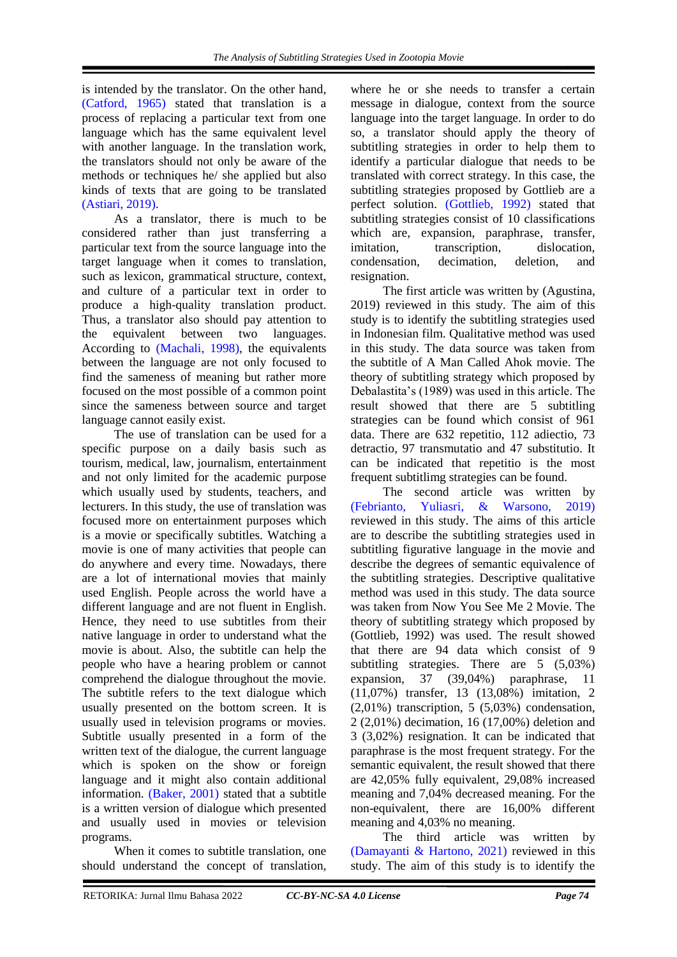is intended by the translator. On the other hand, [\(Catford, 1965\)](#page-5-3) stated that translation is a process of replacing a particular text from one language which has the same equivalent level with another language. In the translation work, the translators should not only be aware of the methods or techniques he/ she applied but also kinds of texts that are going to be translated [\(Astiari, 2019\).](#page-5-4)

As a translator, there is much to be considered rather than just transferring a particular text from the source language into the target language when it comes to translation, such as lexicon, grammatical structure, context, and culture of a particular text in order to produce a high-quality translation product. Thus, a translator also should pay attention to the equivalent between two languages. According to [\(Machali, 1998\),](#page-5-5) the equivalents between the language are not only focused to find the sameness of meaning but rather more focused on the most possible of a common point since the sameness between source and target language cannot easily exist.

The use of translation can be used for a specific purpose on a daily basis such as tourism, medical, law, journalism, entertainment and not only limited for the academic purpose which usually used by students, teachers, and lecturers. In this study, the use of translation was focused more on entertainment purposes which is a movie or specifically subtitles. Watching a movie is one of many activities that people can do anywhere and every time. Nowadays, there are a lot of international movies that mainly used English. People across the world have a different language and are not fluent in English. Hence, they need to use subtitles from their native language in order to understand what the movie is about. Also, the subtitle can help the people who have a hearing problem or cannot comprehend the dialogue throughout the movie. The subtitle refers to the text dialogue which usually presented on the bottom screen. It is usually used in television programs or movies. Subtitle usually presented in a form of the written text of the dialogue, the current language which is spoken on the show or foreign language and it might also contain additional information. [\(Baker, 2001\)](#page-5-6) stated that a subtitle is a written version of dialogue which presented and usually used in movies or television programs.

When it comes to subtitle translation, one should understand the concept of translation,

where he or she needs to transfer a certain message in dialogue, context from the source language into the target language. In order to do so, a translator should apply the theory of subtitling strategies in order to help them to identify a particular dialogue that needs to be translated with correct strategy. In this case, the subtitling strategies proposed by Gottlieb are a perfect solution. [\(Gottlieb, 1992\)](#page-5-7) stated that subtitling strategies consist of 10 classifications which are, expansion, paraphrase, transfer, imitation, transcription, dislocation, condensation, decimation, deletion, and resignation.

The first article was written by (Agustina, 2019) reviewed in this study. The aim of this study is to identify the subtitling strategies used in Indonesian film. Qualitative method was used in this study. The data source was taken from the subtitle of A Man Called Ahok movie. The theory of subtitling strategy which proposed by Debalastita's (1989) was used in this article. The result showed that there are 5 subtitling strategies can be found which consist of 961 data. There are 632 repetitio, 112 adiectio, 73 detractio, 97 transmutatio and 47 substitutio. It can be indicated that repetitio is the most frequent subtitlimg strategies can be found.

The second article was written by [\(Febrianto, Yuliasri, & Warsono, 2019\)](#page-5-8) reviewed in this study. The aims of this article are to describe the subtitling strategies used in subtitling figurative language in the movie and describe the degrees of semantic equivalence of the subtitling strategies. Descriptive qualitative method was used in this study. The data source was taken from Now You See Me 2 Movie. The theory of subtitling strategy which proposed by (Gottlieb, 1992) was used. The result showed that there are 94 data which consist of 9 subtitling strategies. There are 5 (5,03%) expansion, 37 (39,04%) paraphrase, 11 (11,07%) transfer, 13 (13,08%) imitation, 2 (2,01%) transcription, 5 (5,03%) condensation, 2 (2,01%) decimation, 16 (17,00%) deletion and 3 (3,02%) resignation. It can be indicated that paraphrase is the most frequent strategy. For the semantic equivalent, the result showed that there are 42,05% fully equivalent, 29,08% increased meaning and 7,04% decreased meaning. For the non-equivalent, there are 16,00% different meaning and 4,03% no meaning.

The third article was written by [\(Damayanti & Hartono, 2021\)](#page-5-9) reviewed in this study. The aim of this study is to identify the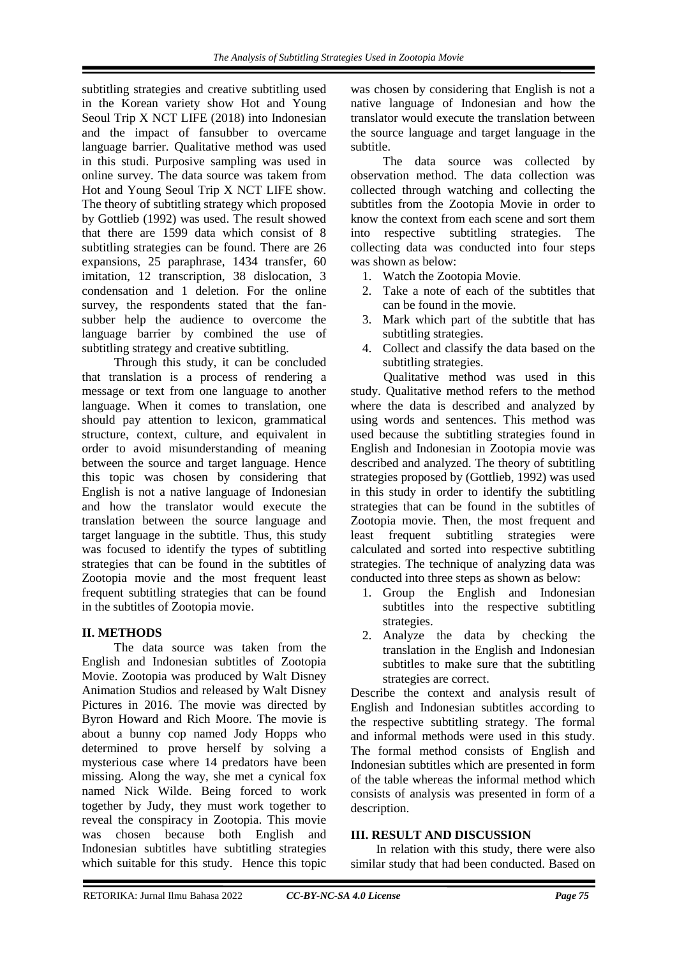subtitling strategies and creative subtitling used in the Korean variety show Hot and Young Seoul Trip X NCT LIFE (2018) into Indonesian and the impact of fansubber to overcame language barrier. Qualitative method was used in this studi. Purposive sampling was used in online survey. The data source was takem from Hot and Young Seoul Trip X NCT LIFE show. The theory of subtitling strategy which proposed by Gottlieb (1992) was used. The result showed that there are 1599 data which consist of 8 subtitling strategies can be found. There are 26 expansions, 25 paraphrase, 1434 transfer, 60 imitation, 12 transcription, 38 dislocation, 3 condensation and 1 deletion. For the online survey, the respondents stated that the fansubber help the audience to overcome the language barrier by combined the use of subtitling strategy and creative subtitling.

Through this study, it can be concluded that translation is a process of rendering a message or text from one language to another language. When it comes to translation, one should pay attention to lexicon, grammatical structure, context, culture, and equivalent in order to avoid misunderstanding of meaning between the source and target language. Hence this topic was chosen by considering that English is not a native language of Indonesian and how the translator would execute the translation between the source language and target language in the subtitle. Thus, this study was focused to identify the types of subtitling strategies that can be found in the subtitles of Zootopia movie and the most frequent least frequent subtitling strategies that can be found in the subtitles of Zootopia movie.

# **II. METHODS**

The data source was taken from the English and Indonesian subtitles of Zootopia Movie. Zootopia was produced by Walt Disney Animation Studios and released by Walt Disney Pictures in 2016. The movie was directed by Byron Howard and Rich Moore. The movie is about a bunny cop named Jody Hopps who determined to prove herself by solving a mysterious case where 14 predators have been missing. Along the way, she met a cynical fox named Nick Wilde. Being forced to work together by Judy, they must work together to reveal the conspiracy in Zootopia. This movie was chosen because both English and Indonesian subtitles have subtitling strategies which suitable for this study. Hence this topic

was chosen by considering that English is not a native language of Indonesian and how the translator would execute the translation between the source language and target language in the subtitle.

The data source was collected by observation method. The data collection was collected through watching and collecting the subtitles from the Zootopia Movie in order to know the context from each scene and sort them into respective subtitling strategies. The collecting data was conducted into four steps was shown as below:

- 1. Watch the Zootopia Movie.
- 2. Take a note of each of the subtitles that can be found in the movie.
- 3. Mark which part of the subtitle that has subtitling strategies.
- 4. Collect and classify the data based on the subtitling strategies.

Qualitative method was used in this study. Qualitative method refers to the method where the data is described and analyzed by using words and sentences. This method was used because the subtitling strategies found in English and Indonesian in Zootopia movie was described and analyzed. The theory of subtitling strategies proposed by (Gottlieb, 1992) was used in this study in order to identify the subtitling strategies that can be found in the subtitles of Zootopia movie. Then, the most frequent and least frequent subtitling strategies were calculated and sorted into respective subtitling strategies. The technique of analyzing data was conducted into three steps as shown as below:

- 1. Group the English and Indonesian subtitles into the respective subtitling strategies.
- 2. Analyze the data by checking the translation in the English and Indonesian subtitles to make sure that the subtitling strategies are correct.

Describe the context and analysis result of English and Indonesian subtitles according to the respective subtitling strategy. The formal and informal methods were used in this study. The formal method consists of English and Indonesian subtitles which are presented in form of the table whereas the informal method which consists of analysis was presented in form of a description.

# **III. RESULT AND DISCUSSION**

In relation with this study, there were also similar study that had been conducted. Based on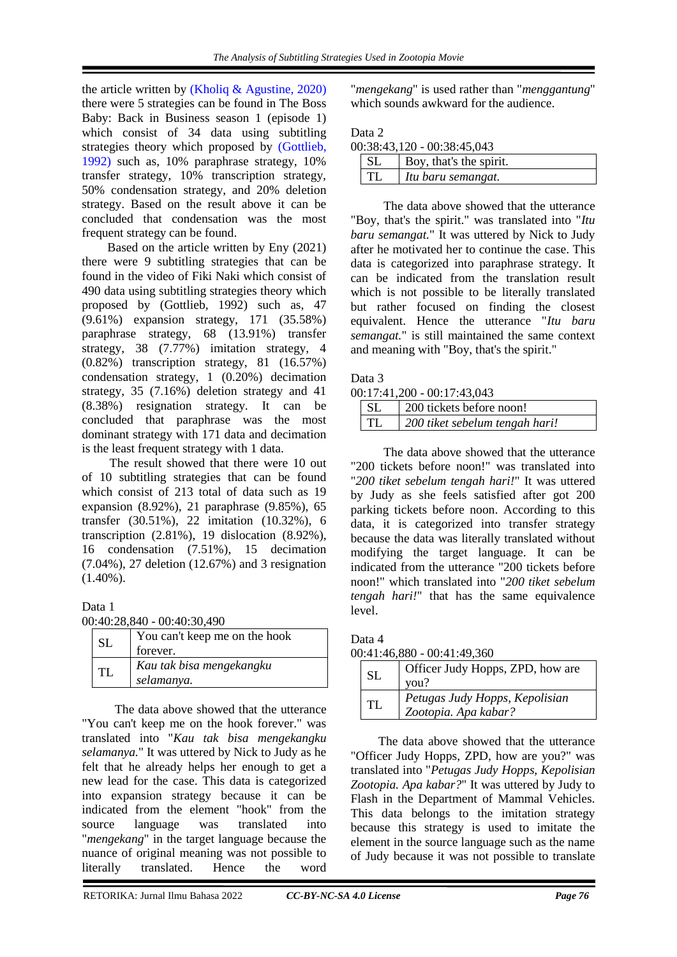the article written by [\(Kholiq & Agustine, 2020\)](#page-5-10) there were 5 strategies can be found in The Boss Baby: Back in Business season 1 (episode 1) which consist of 34 data using subtitling strategies theory which proposed by [\(Gottlieb,](#page-5-7)  1992) such as, 10% paraphrase strategy, 10% transfer strategy, 10% transcription strategy, 50% condensation strategy, and 20% deletion strategy. Based on the result above it can be concluded that condensation was the most frequent strategy can be found.

Based on the article written by Eny (2021) there were 9 subtitling strategies that can be found in the video of Fiki Naki which consist of 490 data using subtitling strategies theory which proposed by (Gottlieb, 1992) such as, 47 (9.61%) expansion strategy, 171 (35.58%) paraphrase strategy, 68 (13.91%) transfer strategy, 38 (7.77%) imitation strategy, 4 (0.82%) transcription strategy, 81 (16.57%) condensation strategy, 1 (0.20%) decimation strategy, 35 (7.16%) deletion strategy and 41 (8.38%) resignation strategy. It can be concluded that paraphrase was the most dominant strategy with 171 data and decimation is the least frequent strategy with 1 data.

The result showed that there were 10 out of 10 subtitling strategies that can be found which consist of 213 total of data such as 19 expansion (8.92%), 21 paraphrase (9.85%), 65 transfer (30.51%), 22 imitation (10.32%), 6 transcription (2.81%), 19 dislocation (8.92%), 16 condensation (7.51%), 15 decimation (7.04%), 27 deletion (12.67%) and 3 resignation (1.40%).

# Data 1

00:40:28,840 - 00:40:30,490

| <b>SL</b> | You can't keep me on the hook<br>forever. |
|-----------|-------------------------------------------|
| TL        | Kau tak bisa mengekangku<br>selamanya.    |

The data above showed that the utterance "You can't keep me on the hook forever." was translated into "*Kau tak bisa mengekangku selamanya.*" It was uttered by Nick to Judy as he felt that he already helps her enough to get a new lead for the case. This data is categorized into expansion strategy because it can be indicated from the element "hook" from the source language was translated into "*mengekang*" in the target language because the nuance of original meaning was not possible to literally translated. Hence the word

"*mengekang*" is used rather than "*menggantung*" which sounds awkward for the audience.

| 00:38:43,120 - 00:38:45,043 |                         |
|-----------------------------|-------------------------|
| -SL                         | Boy, that's the spirit. |
| TL.                         | Itu baru semangat.      |

The data above showed that the utterance "Boy, that's the spirit." was translated into "*Itu baru semangat.*" It was uttered by Nick to Judy after he motivated her to continue the case. This data is categorized into paraphrase strategy. It can be indicated from the translation result which is not possible to be literally translated but rather focused on finding the closest equivalent. Hence the utterance "*Itu baru semangat.*" is still maintained the same context and meaning with "Boy, that's the spirit."

#### Data 3

| 00:17:41,200 - 00:17:43,043 |
|-----------------------------|
|-----------------------------|

| SL | 200 tickets before noon!       |
|----|--------------------------------|
| TI | 200 tiket sebelum tengah hari! |

The data above showed that the utterance "200 tickets before noon!" was translated into "*200 tiket sebelum tengah hari!*" It was uttered by Judy as she feels satisfied after got 200 parking tickets before noon. According to this data, it is categorized into transfer strategy because the data was literally translated without modifying the target language. It can be indicated from the utterance "200 tickets before noon!" which translated into "*200 tiket sebelum tengah hari!*" that has the same equivalence level.

Data 4 00:41:46,880 - 00:41:49,360

| SL  | Officer Judy Hopps, ZPD, how are<br>vou?               |
|-----|--------------------------------------------------------|
| TL. | Petugas Judy Hopps, Kepolisian<br>Zootopia. Apa kabar? |

The data above showed that the utterance "Officer Judy Hopps, ZPD, how are you?" was translated into "*Petugas Judy Hopps, Kepolisian Zootopia. Apa kabar?*" It was uttered by Judy to Flash in the Department of Mammal Vehicles. This data belongs to the imitation strategy because this strategy is used to imitate the element in the source language such as the name of Judy because it was not possible to translate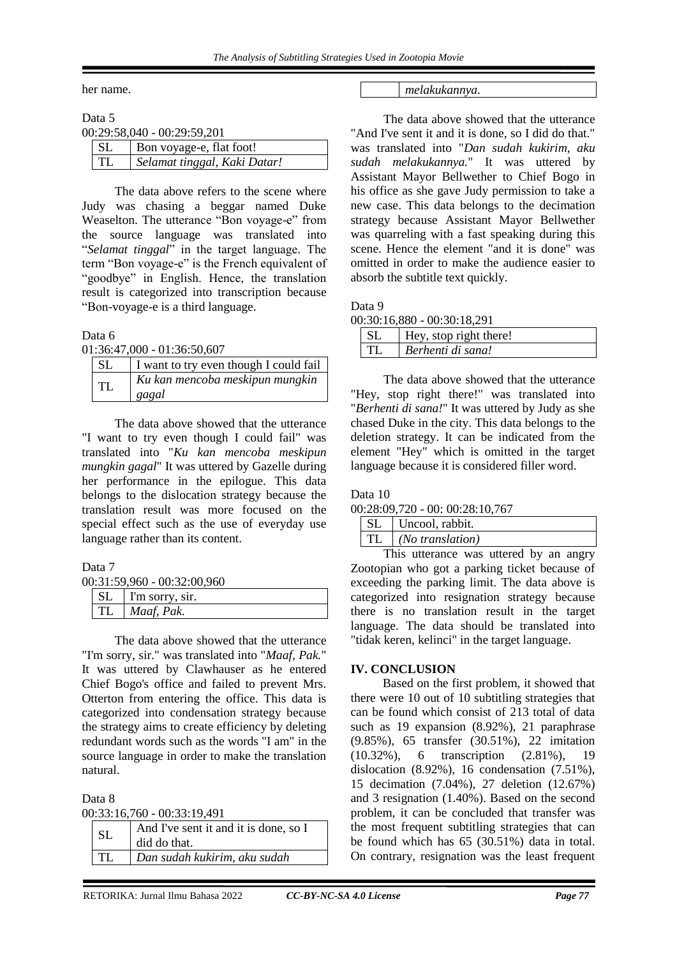her name.

| Data 5    |                               |
|-----------|-------------------------------|
|           | $00:29:58,040 - 00:29:59,201$ |
| <b>SL</b> | Bon voyage-e, flat foot!      |
|           | Selamat tinggal, Kaki Datar!  |

The data above refers to the scene where Judy was chasing a beggar named Duke Weaselton. The utterance "Bon voyage-e" from the source language was translated into "*Selamat tinggal*" in the target language. The term "Bon voyage-e" is the French equivalent of "goodbye" in English. Hence, the translation result is categorized into transcription because "Bon-voyage-e is a third language.

Data 6

01:36:47,000 - 01:36:50,607

| <b>SL</b> | I want to try even though I could fail   |
|-----------|------------------------------------------|
| <b>TL</b> | Ku kan mencoba meskipun mungkin<br>gagal |

The data above showed that the utterance "I want to try even though I could fail" was translated into "*Ku kan mencoba meskipun mungkin gagal*" It was uttered by Gazelle during her performance in the epilogue. This data belongs to the dislocation strategy because the translation result was more focused on the special effect such as the use of everyday use language rather than its content.

Data 7

00:31:59,960 - 00:32:00,960

| -SL | I'm sorry, sir. |
|-----|-----------------|
|     | TL   Maaf, Pak. |

The data above showed that the utterance "I'm sorry, sir." was translated into "*Maaf, Pak.*" It was uttered by Clawhauser as he entered Chief Bogo's office and failed to prevent Mrs. Otterton from entering the office. This data is categorized into condensation strategy because the strategy aims to create efficiency by deleting redundant words such as the words "I am" in the source language in order to make the translation natural.

Data 8

00:33:16,760 - 00:33:19,491

| <b>SL</b> | And I've sent it and it is done, so I<br>did do that. |
|-----------|-------------------------------------------------------|
| TL        | Dan sudah kukirim, aku sudah                          |

#### *melakukannya.*

The data above showed that the utterance "And I've sent it and it is done, so I did do that." was translated into "*Dan sudah kukirim, aku sudah melakukannya.*" It was uttered by Assistant Mayor Bellwether to Chief Bogo in his office as she gave Judy permission to take a new case. This data belongs to the decimation strategy because Assistant Mayor Bellwether was quarreling with a fast speaking during this scene. Hence the element "and it is done" was omitted in order to make the audience easier to absorb the subtitle text quickly.

Data 9

| Hey, stop right there! |
|------------------------|
| Berhenti di sana!      |

The data above showed that the utterance "Hey, stop right there!" was translated into "*Berhenti di sana!*" It was uttered by Judy as she chased Duke in the city. This data belongs to the deletion strategy. It can be indicated from the element "Hey" which is omitted in the target language because it is considered filler word.

Data 10

00:28:09,720 - 00: 00:28:10,767

| SL   Uncool, rabbit.          |
|-------------------------------|
| $TL \mid (No \, translation)$ |

This utterance was uttered by an angry Zootopian who got a parking ticket because of exceeding the parking limit. The data above is categorized into resignation strategy because there is no translation result in the target language. The data should be translated into "tidak keren, kelinci" in the target language.

# **IV. CONCLUSION**

Based on the first problem, it showed that there were 10 out of 10 subtitling strategies that can be found which consist of 213 total of data such as 19 expansion (8.92%), 21 paraphrase (9.85%), 65 transfer (30.51%), 22 imitation (10.32%), 6 transcription (2.81%), 19 dislocation (8.92%), 16 condensation (7.51%), 15 decimation (7.04%), 27 deletion (12.67%) and 3 resignation (1.40%). Based on the second problem, it can be concluded that transfer was the most frequent subtitling strategies that can be found which has 65 (30.51%) data in total. On contrary, resignation was the least frequent